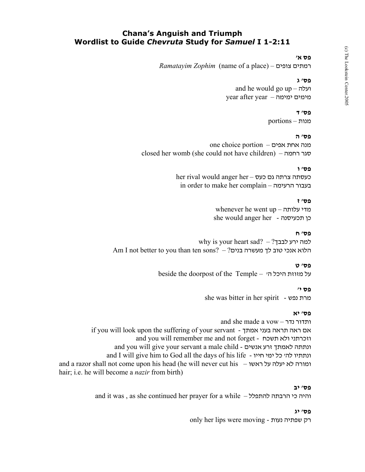# **Chana's Anguish and Triumph Wordlist to Guide** *Chevruta* **Study for** *Samuel* **I 1-2:11**

#### **פס א'**

*Ramatayim Zophim* (name of a place) – צופים רמתים

## **פס' ג**

 and he would go up – ועלה year after year – ימימה מימים

#### **פס' ד**

מנות – portions

## **פס' ה**

מנה אחת אפים – portion choice one closed her womb (she could not have children) – רחמה סגר

## **פס' ו**

her rival would anger her – כעסתה צרתה גם כעס in order to make her complain – הרעימה בעבור

#### **פס' ז**

whenever he went up – עלותה מדי she would anger her - תכעיסנה כן

#### **פס' ח**

why is your heart sad? – למה ירע לבבך Am I not better to you than ten sons? – ?הלוא אנכי טוב לך מעשרה בנים

## **פס' ט**

beside the doorpost of the Temple – 'ה היכל מזוזת על

## **פס י'**

she was bitter in her spirit - נפש מרת

## **פס' יא**

and she made a vow – נדר ותדור if you will look upon the suffering of your servant - אמתך בעני תראה ראה אם and you will remember me and not forget - תשכח ולא וזכרתני and you will give your servant a male child - אנשים זרע לאמתך ונתתה and I will give him to God all the days of his life - ונתתיו להי כל ימי חייו and a razor shall not come upon his head (he will never cut his – ראשו על יעלה לא ומורה hair; i.e. he will become a *nazir* from birth)

#### **פס' יב**

and it was , as she continued her prayer for a while – להתפלל הרבתה כי והיה

#### **פס' יג**

only her lips were moving - נעות שפתיה רק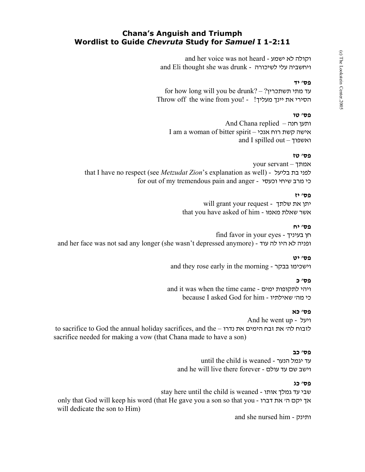# **Chana's Anguish and Triumph Wordlist to Guide** *Chevruta* **Study for** *Samuel* **I 1-2:11**

 and her voice was not heard - ישמע לא וקולה and Eli thought she was drunk - לשיכורה עלי ויחשביה

## **פס' יד**

for how long will you be drunk? –  $?$ עד מתי תשתכרין Throw off the wine from you! - ! הסירי את יינך מעליך

## **פס' טו**

And Chana replied – חנה ותען I am a woman of bitter spirit – אנכי רוח קשת אישה and I spilled out – ואשפוך

## **פס' טז**

your servant – אמתך that I have no respect (see *Metzudat Zion*'s explanation as well) - בליעל בת לפני for out of my tremendous pain and anger - וכעסי שיחי מרב כי

#### **פס' יז**

 will grant your request - שלתך את יתן that you have asked of him - מאמו שאלת אשר

#### **פס' יח**

 find favor in your eyes - בעיניך חן and her face was not sad any longer (she wasn't depressed anymore) - עוד לה היו לא ופניה

#### **פס' יט**

and they rose early in the morning - בבקר וישכימו

## **פס' כ**

 and it was when the time came - ימים לתקופות ויהי because I asked God for him - שאילתיו' מה כי

## **פס' כא**

 And he went up - ויעל to sacrifice to God the annual holiday sacrifices, and the – נדרו את הימים זבח את' לה לזבוח sacrifice needed for making a vow (that Chana made to have a son)

#### **פס' כב**

 until the child is weaned - הנער יגמל עד and he will live there forever - עולם עד שם וישב

## **פס' כג**

 stay here until the child is weaned - אותו גמלך עד שבי only that God will keep his word (that He gave you a son so that you - דברו את' ה יקם אך will dedicate the son to Him)

and she nursed him - ותינק